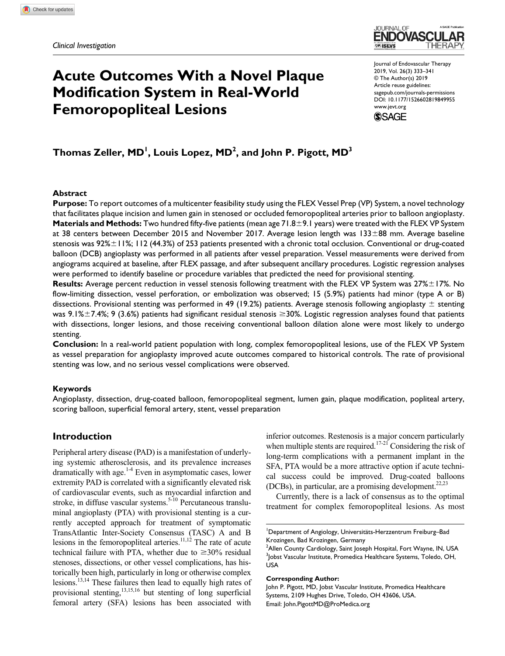

# **Acute Outcomes With a Novel Plaque Modification System in Real-World Femoropopliteal Lesions**

https://doi.org/10.1177/1526602819849955 DOI: 10.1177/1526602819849955 Journal of Endovascular Therapy 2019, Vol. 26(3) 333–341 © The Author(s) 2019 Article reuse guidelines: sagepub.com/journals-permissions www.jevt.org



# $\mathsf{T}$ homas Zeller, MD<sup>I</sup>, Louis Lopez, MD<sup>2</sup>, and John P. Pigott, MD<sup>3</sup>

#### **Abstract**

**Purpose:** To report outcomes of a multicenter feasibility study using the FLEX Vessel Prep (VP) System, a novel technology that facilitates plaque incision and lumen gain in stenosed or occluded femoropopliteal arteries prior to balloon angioplasty. **Materials and Methods:** Two hundred fifty-five patients (mean age 71.8±9.1 years) were treated with the FLEX VP System at 38 centers between December 2015 and November 2017. Average lesion length was 133±88 mm. Average baseline stenosis was 92%±11%; 112 (44.3%) of 253 patients presented with a chronic total occlusion. Conventional or drug-coated balloon (DCB) angioplasty was performed in all patients after vessel preparation. Vessel measurements were derived from angiograms acquired at baseline, after FLEX passage, and after subsequent ancillary procedures. Logistic regression analyses were performed to identify baseline or procedure variables that predicted the need for provisional stenting.

**Results:** Average percent reduction in vessel stenosis following treatment with the FLEX VP System was 27%±17%. No flow-limiting dissection, vessel perforation, or embolization was observed; 15 (5.9%) patients had minor (type A or B) dissections. Provisional stenting was performed in 49 (19.2%) patients. Average stenosis following angioplasty  $\pm$  stenting was 9.1% $\pm$ 7.4%; 9 (3.6%) patients had significant residual stenosis ≥30%. Logistic regression analyses found that patients with dissections, longer lesions, and those receiving conventional balloon dilation alone were most likely to undergo stenting.

**Conclusion:** In a real-world patient population with long, complex femoropopliteal lesions, use of the FLEX VP System as vessel preparation for angioplasty improved acute outcomes compared to historical controls. The rate of provisional stenting was low, and no serious vessel complications were observed.

#### **Keywords**

Angioplasty, dissection, drug-coated balloon, femoropopliteal segment, lumen gain, plaque modification, popliteal artery, scoring balloon, superficial femoral artery, stent, vessel preparation

## **Introduction**

Peripheral artery disease (PAD) is a manifestation of underlying systemic atherosclerosis, and its prevalence increases dramatically with age.1-4 Even in asymptomatic cases, lower extremity PAD is correlated with a significantly elevated risk of cardiovascular events, such as myocardial infarction and stroke, in diffuse vascular systems.<sup>5-10</sup> Percutaneous transluminal angioplasty (PTA) with provisional stenting is a currently accepted approach for treatment of symptomatic TransAtlantic Inter-Society Consensus (TASC) A and B lesions in the femoropopliteal arteries.<sup>11,12</sup> The rate of acute technical failure with PTA, whether due to  $\geq 30\%$  residual stenoses, dissections, or other vessel complications, has historically been high, particularly in long or otherwise complex lesions.13,14 These failures then lead to equally high rates of provisional stenting,13,15,16 but stenting of long superficial femoral artery (SFA) lesions has been associated with inferior outcomes. Restenosis is a major concern particularly when multiple stents are required.<sup>17-21</sup> Considering the risk of long-term complications with a permanent implant in the SFA, PTA would be a more attractive option if acute technical success could be improved. Drug-coated balloons (DCBs), in particular, are a promising development.<sup>22,23</sup>

Currently, there is a lack of consensus as to the optimal treatment for complex femoropopliteal lesions. As most

#### **Corresponding Author:**

<sup>&</sup>lt;sup>1</sup>Department of Angiology, Universitäts-Herzzentrum Freiburg-Bad Krozingen, Bad Krozingen, Germany

 $^2$ Allen County Cardiology, Saint Joseph Hospital, Fort Wayne, IN, USA 3 Jobst Vascular Institute, Promedica Healthcare Systems, Toledo, OH, USA

John P. Pigott, MD, Jobst Vascular Institute, Promedica Healthcare Systems, 2109 Hughes Drive, Toledo, OH 43606, USA. Email: John.PigottMD@ProMedica.org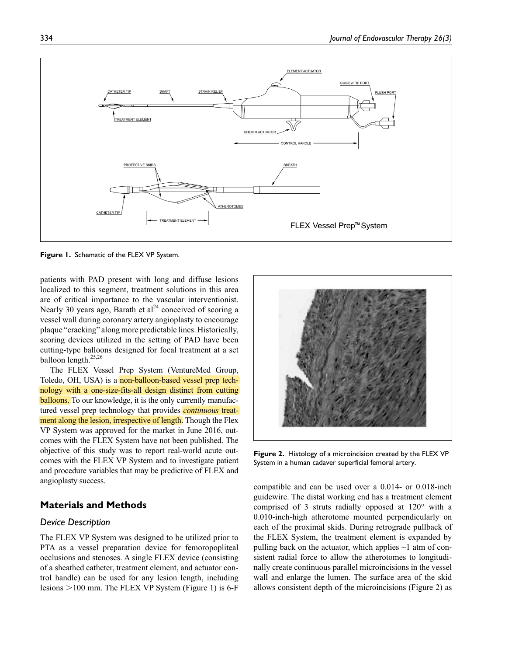

**Figure 1.** Schematic of the FLEX VP System.

patients with PAD present with long and diffuse lesions localized to this segment, treatment solutions in this area are of critical importance to the vascular interventionist. Nearly 30 years ago, Barath et  $al<sup>24</sup>$  conceived of scoring a vessel wall during coronary artery angioplasty to encourage plaque "cracking" along more predictable lines. Historically, scoring devices utilized in the setting of PAD have been cutting-type balloons designed for focal treatment at a set balloon length.25,26

The FLEX Vessel Prep System (VentureMed Group, Toledo, OH, USA) is a non-balloon-based vessel prep technology with a one-size-fits-all design distinct from cutting **balloons.** To our knowledge, it is the only currently manufactured vessel prep technology that provides *continuous* treatment along the lesion, irrespective of length. Though the Flex VP System was approved for the market in June 2016, outcomes with the FLEX System have not been published. The objective of this study was to report real-world acute outcomes with the FLEX VP System and to investigate patient and procedure variables that may be predictive of FLEX and angioplasty success.

# **Materials and Methods**

#### *Device Description*

The FLEX VP System was designed to be utilized prior to PTA as a vessel preparation device for femoropopliteal occlusions and stenoses. A single FLEX device (consisting of a sheathed catheter, treatment element, and actuator control handle) can be used for any lesion length, including lesions >100 mm. The FLEX VP System (Figure 1) is 6-F



**Figure 2.** Histology of a microincision created by the FLEX VP System in a human cadaver superficial femoral artery.

compatible and can be used over a 0.014- or 0.018-inch guidewire. The distal working end has a treatment element comprised of 3 struts radially opposed at 120° with a 0.010-inch-high atherotome mounted perpendicularly on each of the proximal skids. During retrograde pullback of the FLEX System, the treatment element is expanded by pulling back on the actuator, which applies  $\sim$ 1 atm of consistent radial force to allow the atherotomes to longitudinally create continuous parallel microincisions in the vessel wall and enlarge the lumen. The surface area of the skid allows consistent depth of the microincisions (Figure 2) as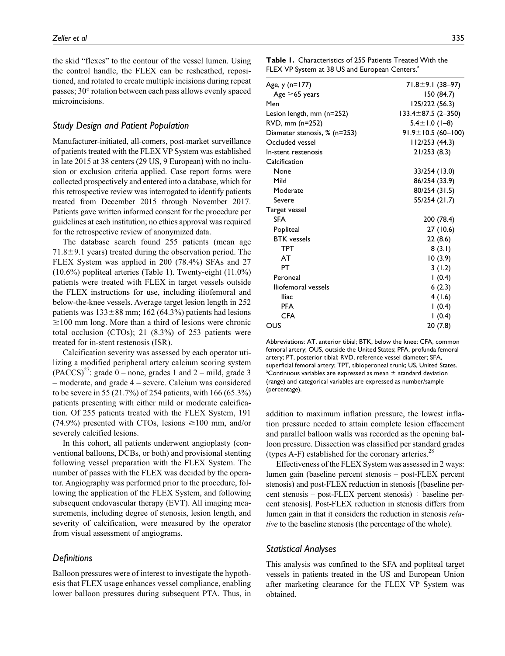the skid "flexes" to the contour of the vessel lumen. Using the control handle, the FLEX can be resheathed, repositioned, and rotated to create multiple incisions during repeat passes; 30° rotation between each pass allows evenly spaced microincisions.

# *Study Design and Patient Population*

Manufacturer-initiated, all-comers, post-market surveillance of patients treated with the FLEX VP System was established in late 2015 at 38 centers (29 US, 9 European) with no inclusion or exclusion criteria applied. Case report forms were collected prospectively and entered into a database, which for this retrospective review was interrogated to identify patients treated from December 2015 through November 2017. Patients gave written informed consent for the procedure per guidelines at each institution; no ethics approval was required for the retrospective review of anonymized data.

The database search found 255 patients (mean age  $71.8 \pm 9.1$  years) treated during the observation period. The FLEX System was applied in 200 (78.4%) SFAs and 27 (10.6%) popliteal arteries (Table 1). Twenty-eight (11.0%) patients were treated with FLEX in target vessels outside the FLEX instructions for use, including iliofemoral and below-the-knee vessels. Average target lesion length in 252 patients was  $133\pm88$  mm; 162 (64.3%) patients had lesions  $\geq$ 100 mm long. More than a third of lesions were chronic total occlusion (CTOs); 21 (8.3%) of 253 patients were treated for in-stent restenosis (ISR).

Calcification severity was assessed by each operator utilizing a modified peripheral artery calcium scoring system  $(PACCS)^{27}$ : grade 0 – none, grades 1 and 2 – mild, grade 3 – moderate, and grade 4 – severe. Calcium was considered to be severe in 55 (21.7%) of 254 patients, with 166 (65.3%) patients presenting with either mild or moderate calcification. Of 255 patients treated with the FLEX System, 191  $(74.9\%)$  presented with CTOs, lesions  $\geq 100$  mm, and/or severely calcified lesions.

In this cohort, all patients underwent angioplasty (conventional balloons, DCBs, or both) and provisional stenting following vessel preparation with the FLEX System. The number of passes with the FLEX was decided by the operator. Angiography was performed prior to the procedure, following the application of the FLEX System, and following subsequent endovascular therapy (EVT). All imaging measurements, including degree of stenosis, lesion length, and severity of calcification, were measured by the operator from visual assessment of angiograms.

#### *Definitions*

Balloon pressures were of interest to investigate the hypothesis that FLEX usage enhances vessel compliance, enabling lower balloon pressures during subsequent PTA. Thus, in

**Table 1.** Characteristics of 255 Patients Treated With the FLEX VP System at 38 US and European Centers.<sup>a</sup>

| Age, y (n=177)               | 71.8±9.1 (38–97)         |
|------------------------------|--------------------------|
| Age $\geq 65$ years          | 150 (84.7)               |
| Men                          | 125/222 (56.3)           |
| Lesion length, mm (n=252)    | $133.4 \pm 87.5$ (2-350) |
| RVD, mm (n=252)              | $5.4 \pm 1.0$ (1-8)      |
| Diameter stenosis, % (n=253) | $91.9 \pm 10.5$ (60-100) |
| Occluded vessel              | 112/253(44.3)            |
| In-stent restenosis          | 21/253(8.3)              |
| Calcification                |                          |
| None                         | 33/254 (13.0)            |
| Mild                         | 86/254 (33.9)            |
| Moderate                     | 80/254 (31.5)            |
| Severe                       | 55/254 (21.7)            |
| Target vessel                |                          |
| <b>SFA</b>                   | 200 (78.4)               |
| Popliteal                    | 27 (10.6)                |
| <b>BTK</b> vessels           | 22(8.6)                  |
| TPT                          | 8(3.1)                   |
| AT                           | 10(3.9)                  |
| PT                           | 3(1.2)                   |
| Peroneal                     | 1(0.4)                   |
| lliofemoral vessels          | 6(2.3)                   |
| lliac                        | 4(1.6)                   |
| <b>PFA</b>                   | 1(0.4)                   |
| <b>CFA</b>                   | 1(0.4)                   |
| OUS                          | 20(7.8)                  |
|                              |                          |

Abbreviations: AT, anterior tibial; BTK, below the knee; CFA, common femoral artery; OUS, outside the United States; PFA, profunda femoral artery; PT, posterior tibial; RVD, reference vessel diameter; SFA, superficial femoral artery; TPT, tibioperoneal trunk; US, United States.  $^{\rm a}$ Continuous variables are expressed as mean  $\pm$  standard deviation (range) and categorical variables are expressed as number/sample (percentage).

addition to maximum inflation pressure, the lowest inflation pressure needed to attain complete lesion effacement and parallel balloon walls was recorded as the opening balloon pressure. Dissection was classified per standard grades (types A-F) established for the coronary arteries.<sup>28</sup>

Effectiveness of the FLEX System was assessed in 2 ways: lumen gain (baseline percent stenosis – post-FLEX percent stenosis) and post-FLEX reduction in stenosis [(baseline percent stenosis – post-FLEX percent stenosis) ÷ baseline percent stenosis]. Post-FLEX reduction in stenosis differs from lumen gain in that it considers the reduction in stenosis *relative* to the baseline stenosis (the percentage of the whole).

#### *Statistical Analyses*

This analysis was confined to the SFA and popliteal target vessels in patients treated in the US and European Union after marketing clearance for the FLEX VP System was obtained.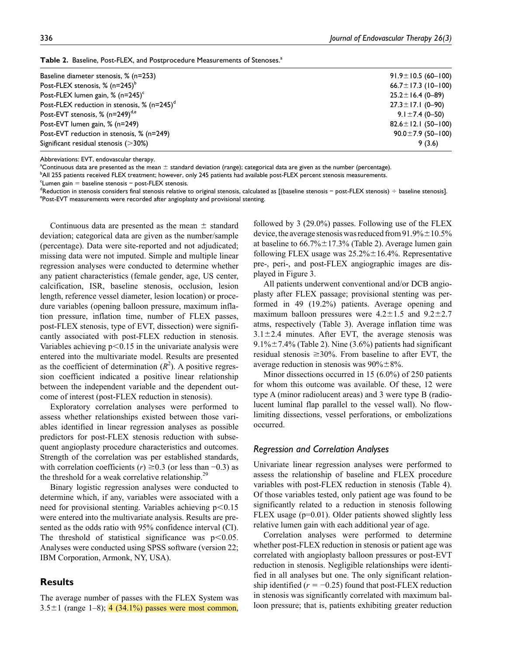|  |  |  |  |  | Table 2. Baseline, Post-FLEX, and Postprocedure Measurements of Stenoses. <sup>a</sup> |  |
|--|--|--|--|--|----------------------------------------------------------------------------------------|--|
|--|--|--|--|--|----------------------------------------------------------------------------------------|--|

| Baseline diameter stenosis, % (n=253)          | $91.9 \pm 10.5(60 - 100)$ |
|------------------------------------------------|---------------------------|
| Post-FLEX stenosis, % (n=245) <sup>b</sup>     | 66.7 $\pm$ 17.3 (10–100)  |
| Post-FLEX lumen gain, % (n=245) <sup>c</sup>   | $25.2 \pm 16.4$ (0-89)    |
| Post-FLEX reduction in stenosis, $% (n=245)^d$ | $27.3 \pm 17.1$ (0-90)    |
| Post-EVT stenosis, % (n=249) <sup>d,e</sup>    | $9.1 \pm 7.4$ (0-50)      |
| Post-EVT lumen gain, % (n=249)                 | $82.6 \pm 12.1(50 - 100)$ |
| Post-EVT reduction in stenosis, % (n=249)      | $90.0 \pm 7.9$ (50-100)   |
| Significant residual stenosis $($ >30%)        | 9(3.6)                    |
|                                                |                           |

Abbreviations: EVT, endovascular therapy.

<sup>a</sup>Continuous data are presented as the mean  $\pm$  standard deviation (range); categorical data are given as the number (percentage).<br><sup>b</sup>All 255 patients reseived ELEX treatment: bougues, enly 245 patients hed available pe

<sup>b</sup>All 255 patients received FLEX treatment; however, only 245 patients had available post-FLEX percent stenosis measurements.

 $c^{\text{c}}$ Lumen gain = baseline stenosis − post-FLEX stenosis.<br>dPoduction in stenosis considers final stenosis relative.

Reduction in stenosis considers final stenosis relative to original stenosis, calculated as [(baseline stenosis − post-FLEX stenosis) ÷ baseline stenosis]. <sup>e</sup> Post-EVT measurements were recorded after angioplasty and provisional stenting.

Continuous data are presented as the mean  $\pm$  standard deviation; categorical data are given as the number/sample (percentage). Data were site-reported and not adjudicated; missing data were not imputed. Simple and multiple linear regression analyses were conducted to determine whether any patient characteristics (female gender, age, US center, calcification, ISR, baseline stenosis, occlusion, lesion length, reference vessel diameter, lesion location) or procedure variables (opening balloon pressure, maximum inflation pressure, inflation time, number of FLEX passes, post-FLEX stenosis, type of EVT, dissection) were significantly associated with post-FLEX reduction in stenosis. Variables achieving  $p < 0.15$  in the univariate analysis were entered into the multivariate model. Results are presented as the coefficient of determination  $(R^2)$ . A positive regression coefficient indicated a positive linear relationship between the independent variable and the dependent outcome of interest (post-FLEX reduction in stenosis).

Exploratory correlation analyses were performed to assess whether relationships existed between those variables identified in linear regression analyses as possible predictors for post-FLEX stenosis reduction with subsequent angioplasty procedure characteristics and outcomes. Strength of the correlation was per established standards, with correlation coefficients  $(r) \ge 0.3$  (or less than  $-0.3$ ) as the threshold for a weak correlative relationship.<sup>29</sup>

Binary logistic regression analyses were conducted to determine which, if any, variables were associated with a need for provisional stenting. Variables achieving  $p < 0.15$ were entered into the multivariate analysis. Results are presented as the odds ratio with 95% confidence interval (CI). The threshold of statistical significance was  $p < 0.05$ . Analyses were conducted using SPSS software (version 22; IBM Corporation, Armonk, NY, USA).

# **Results**

The average number of passes with the FLEX System was  $3.5 \pm 1$  (range 1–8); 4 (34.1%) passes were most common,

followed by 3 (29.0%) passes. Following use of the FLEX device, the average stenosis was reduced from  $91.9\% \pm 10.5\%$ at baseline to  $66.7\% \pm 17.3\%$  (Table 2). Average lumen gain following FLEX usage was  $25.2\% \pm 16.4\%$ . Representative pre-, peri-, and post-FLEX angiographic images are displayed in Figure 3.

All patients underwent conventional and/or DCB angioplasty after FLEX passage; provisional stenting was performed in 49 (19.2%) patients. Average opening and maximum balloon pressures were  $4.2 \pm 1.5$  and  $9.2 \pm 2.7$ atms, respectively (Table 3). Average inflation time was  $3.1 \pm 2.4$  minutes. After EVT, the average stenosis was 9.1% $\pm$ 7.4% (Table 2). Nine (3.6%) patients had significant residual stenosis  $\geq 30\%$ . From baseline to after EVT, the average reduction in stenosis was  $90\% \pm 8\%$ .

Minor dissections occurred in 15 (6.0%) of 250 patients for whom this outcome was available. Of these, 12 were type A (minor radiolucent areas) and 3 were type B (radiolucent luminal flap parallel to the vessel wall). No flowlimiting dissections, vessel perforations, or embolizations occurred.

#### *Regression and Correlation Analyses*

Univariate linear regression analyses were performed to assess the relationship of baseline and FLEX procedure variables with post-FLEX reduction in stenosis (Table 4). Of those variables tested, only patient age was found to be significantly related to a reduction in stenosis following FLEX usage (p=0.01). Older patients showed slightly less relative lumen gain with each additional year of age.

Correlation analyses were performed to determine whether post-FLEX reduction in stenosis or patient age was correlated with angioplasty balloon pressures or post-EVT reduction in stenosis. Negligible relationships were identified in all analyses but one. The only significant relationship identified  $(r = -0.25)$  found that post-FLEX reduction in stenosis was significantly correlated with maximum balloon pressure; that is, patients exhibiting greater reduction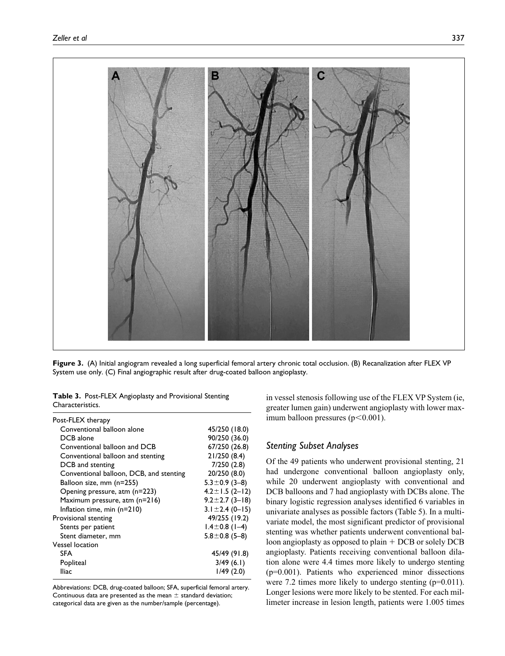

Figure 3. (A) Initial angiogram revealed a long superficial femoral artery chronic total occlusion. (B) Recanalization after FLEX VP System use only. (C) Final angiographic result after drug-coated balloon angioplasty.

|                  | Table 3. Post-FLEX Angioplasty and Provisional Stenting |
|------------------|---------------------------------------------------------|
| Characteristics. |                                                         |

| Post-FLEX therapy                       |                      |
|-----------------------------------------|----------------------|
| Conventional balloon alone              | 45/250 (18.0)        |
| DCB alone                               | 90/250 (36.0)        |
| Conventional balloon and DCB            | 67/250 (26.8)        |
| Conventional balloon and stenting       | 21/250 (8.4)         |
| DCB and stenting                        | 7/250(2.8)           |
| Conventional balloon, DCB, and stenting | 20/250 (8.0)         |
| Balloon size, mm (n=255)                | $5.3 \pm 0.9$ (3-8)  |
| Opening pressure, atm (n=223)           | $4.2 \pm 1.5$ (2-12) |
| Maximum pressure, atm (n=216)           | $9.2 \pm 2.7$ (3-18) |
| Inflation time, min (n=210)             | $3.1 \pm 2.4$ (0-15) |
| Provisional stenting                    | 49/255 (19.2)        |
| Stents per patient                      | $1.4 \pm 0.8$ (1-4)  |
| Stent diameter, mm                      | $5.8 \pm 0.8$ (5-8)  |
| <b>Vessel location</b>                  |                      |
| <b>SFA</b>                              | 45/49 (91.8)         |
| Popliteal                               | 3/49(6.1)            |
| lliac                                   | 1/49(2.0)            |

Abbreviations: DCB, drug-coated balloon; SFA, superficial femoral artery. Continuous data are presented as the mean  $\pm$  standard deviation; categorical data are given as the number/sample (percentage).

in vessel stenosis following use of the FLEX VP System (ie, greater lumen gain) underwent angioplasty with lower maximum balloon pressures  $(p<0.001)$ .

# *Stenting Subset Analyses*

Of the 49 patients who underwent provisional stenting, 21 had undergone conventional balloon angioplasty only, while 20 underwent angioplasty with conventional and DCB balloons and 7 had angioplasty with DCBs alone. The binary logistic regression analyses identified 6 variables in univariate analyses as possible factors (Table 5). In a multivariate model, the most significant predictor of provisional stenting was whether patients underwent conventional balloon angioplasty as opposed to plain + DCB or solely DCB angioplasty. Patients receiving conventional balloon dilation alone were 4.4 times more likely to undergo stenting (p=0.001). Patients who experienced minor dissections were 7.2 times more likely to undergo stenting (p=0.011). Longer lesions were more likely to be stented. For each millimeter increase in lesion length, patients were 1.005 times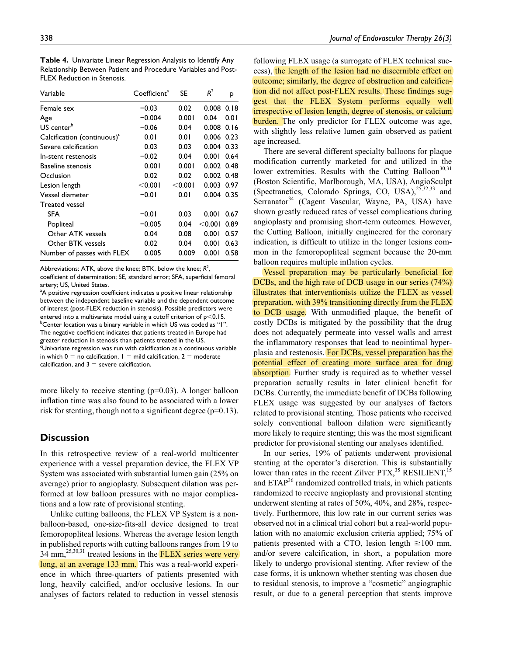| Variable                                | Coefficient <sup>a</sup> | <b>SE</b> | $R^2$          | P    |
|-----------------------------------------|--------------------------|-----------|----------------|------|
| Female sex                              | $-0.03$                  | 0.02      | $0.008$ $0.18$ |      |
| Age                                     | $-0.004$                 | 0.001     | 0.04           | 0.01 |
| US center <sup>b</sup>                  | $-0.06$                  | 0.04      | $0.008$ $0.16$ |      |
| Calcification (continuous) <sup>c</sup> | 0.01                     | 0.01      | 0.006 0.23     |      |
| Severe calcification                    | 0.03                     | 0.03      | $0.004$ 0.33   |      |
| In-stent restenosis                     | $-0.02$                  | 0.04      | 0.001          | 0.64 |
| <b>Baseline stenosis</b>                | 0.001                    | 0.001     | 0.002 0.48     |      |
| Occlusion                               | 0.02                     | 0.02      | 0.002 0.48     |      |
| Lesion length                           | $<$ 0.00 l               | $<$ 0.00  | 0.003 0.97     |      |
| Vessel diameter                         | $-0.01$                  | 0.01      | 0.004 0.35     |      |
| <b>Treated vessel</b>                   |                          |           |                |      |
| <b>SFA</b>                              | $-0.01$                  | 0.03      | 0.001          | 0.67 |
| Popliteal                               | $-0.005$                 | 0.04      | $<$ 0.00       | 0.89 |
| Other ATK vessels                       | 0.04                     | 0.08      | 0.001          | 0.57 |
| Other BTK vessels                       | 0.02                     | 0.04      | 0.001          | 0.63 |
| Number of passes with FLEX              | 0.005                    | 0.009     | 0.001          | 0.58 |

**Table 4.** Univariate Linear Regression Analysis to Identify Any Relationship Between Patient and Procedure Variables and Post-FLEX Reduction in Stenosis.

Abbreviations: ATK, above the knee; BTK, below the knee;  $R^2$ , coefficient of determination; SE, standard error; SFA, superficial femoral artery; US, United States.

<sup>a</sup>A positive regression coefficient indicates a positive linear relationship between the independent baseline variable and the dependent outcome of interest (post-FLEX reduction in stenosis). Possible predictors were entered into a multivariate model using a cutoff criterion of  $p<0.15$ .  $^{\rm b}$ Center location was a binary variable in which US was coded as "1". The negative coefficient indicates that patients treated in Europe had greater reduction in stenosis than patients treated in the US. Univariate regression was run with calcification as a continuous variable in which  $0 =$  no calcification,  $1 =$  mild calcification,  $2 =$  moderate

calcification, and  $3 =$  severe calcification.

more likely to receive stenting  $(p=0.03)$ . A longer balloon inflation time was also found to be associated with a lower risk for stenting, though not to a significant degree ( $p=0.13$ ).

## **Discussion**

In this retrospective review of a real-world multicenter experience with a vessel preparation device, the FLEX VP System was associated with substantial lumen gain (25% on average) prior to angioplasty. Subsequent dilation was performed at low balloon pressures with no major complications and a low rate of provisional stenting.

Unlike cutting balloons, the FLEX VP System is a nonballoon-based, one-size-fits-all device designed to treat femoropopliteal lesions. Whereas the average lesion length in published reports with cutting balloons ranges from 19 to 34 mm, $^{25,30,31}$  treated lesions in the FLEX series were very long, at an average 133 mm. This was a real-world experience in which three-quarters of patients presented with long, heavily calcified, and/or occlusive lesions. In our analyses of factors related to reduction in vessel stenosis

following FLEX usage (a surrogate of FLEX technical success), the length of the lesion had no discernible effect on outcome; similarly, the degree of obstruction and calcification did not affect post-FLEX results. These findings suggest that the FLEX System performs equally well irrespective of lesion length, degree of stenosis, or calcium burden. The only predictor for FLEX outcome was age, with slightly less relative lumen gain observed as patient age increased.

There are several different specialty balloons for plaque modification currently marketed for and utilized in the lower extremities. Results with the Cutting Balloon<sup>30,31</sup> (Boston Scientific, Marlborough, MA, USA), AngioSculpt (Spectranetics, Colorado Springs, CO, USA), $^{25,32,33}$  and Serranator<sup>34</sup> (Cagent Vascular, Wayne, PA, USA) have shown greatly reduced rates of vessel complications during angioplasty and promising short-term outcomes. However, the Cutting Balloon, initially engineered for the coronary indication, is difficult to utilize in the longer lesions common in the femoropopliteal segment because the 20-mm balloon requires multiple inflation cycles.

Vessel preparation may be particularly beneficial for DCBs, and the high rate of DCB usage in our series (74%) illustrates that interventionists utilize the FLEX as vessel preparation, with 39% transitioning directly from the FLEX to DCB usage. With unmodified plaque, the benefit of costly DCBs is mitigated by the possibility that the drug does not adequately permeate into vessel walls and arrest the inflammatory responses that lead to neointimal hyperplasia and restenosis. For DCBs, vessel preparation has the potential effect of creating more surface area for drug absorption. Further study is required as to whether vessel preparation actually results in later clinical benefit for DCBs. Currently, the immediate benefit of DCBs following FLEX usage was suggested by our analyses of factors related to provisional stenting. Those patients who received solely conventional balloon dilation were significantly more likely to require stenting; this was the most significant predictor for provisional stenting our analyses identified.

In our series, 19% of patients underwent provisional stenting at the operator's discretion. This is substantially lower than rates in the recent Zilver  $PTX<sub>1</sub><sup>35</sup>$  RESILIENT,<sup>15</sup> and ETAP<sup>36</sup> randomized controlled trials, in which patients randomized to receive angioplasty and provisional stenting underwent stenting at rates of 50%, 40%, and 28%, respectively. Furthermore, this low rate in our current series was observed not in a clinical trial cohort but a real-world population with no anatomic exclusion criteria applied; 75% of patients presented with a CTO, lesion length  $\geq 100$  mm, and/or severe calcification, in short, a population more likely to undergo provisional stenting. After review of the case forms, it is unknown whether stenting was chosen due to residual stenosis, to improve a "cosmetic" angiographic result, or due to a general perception that stents improve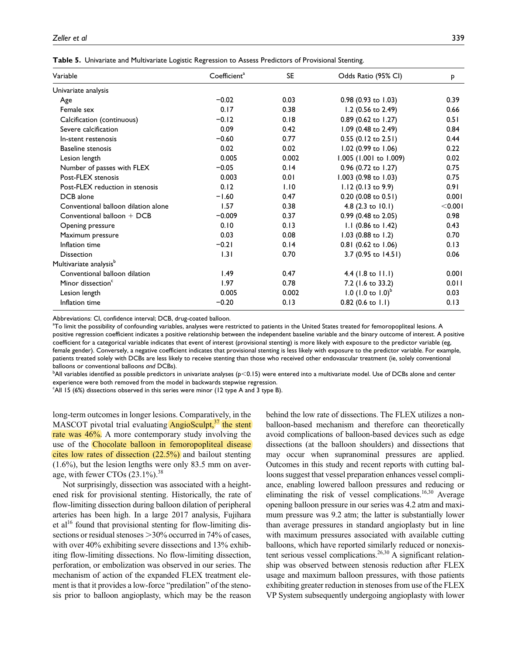|  | Table 5. Univariate and Multivariate Logistic Regression to Assess Predictors of Provisional Stenting. |  |
|--|--------------------------------------------------------------------------------------------------------|--|
|--|--------------------------------------------------------------------------------------------------------|--|

| Variable                            | Coefficient <sup>a</sup> | <b>SE</b> | Odds Ratio (95% CI)           | P       |
|-------------------------------------|--------------------------|-----------|-------------------------------|---------|
| Univariate analysis                 |                          |           |                               |         |
| Age                                 | $-0.02$                  | 0.03      | $0.98$ (0.93 to 1.03)         | 0.39    |
| Female sex                          | 0.17                     | 0.38      | 1.2 (0.56 to 2.49)            | 0.66    |
| Calcification (continuous)          | $-0.12$                  | 0.18      | 0.89 (0.62 to 1.27)           | 0.51    |
| Severe calcification                | 0.09                     | 0.42      | 1.09 (0.48 to 2.49)           | 0.84    |
| In-stent restenosis                 | $-0.60$                  | 0.77      | 0.55 (0.12 to 2.51)           | 0.44    |
| <b>Baseline stenosis</b>            | 0.02                     | 0.02      | 1.02 (0.99 to 1.06)           | 0.22    |
| Lesion length                       | 0.005                    | 0.002     | 1.005 (1.001 to 1.009)        | 0.02    |
| Number of passes with FLEX          | $-0.05$                  | 0.14      | 0.96 (0.72 to 1.27)           | 0.75    |
| Post-FLEX stenosis                  | 0.003                    | 0.01      | 1.003 (0.98 to 1.03)          | 0.75    |
| Post-FLEX reduction in stenosis     | 0.12                     | 1.10      | $1.12$ (0.13 to 9.9)          | 0.91    |
| DCB alone                           | $-1.60$                  | 0.47      | $0.20$ (0.08 to $0.51$ )      | 0.001   |
| Conventional balloon dilation alone | 1.57                     | 0.38      | 4.8 $(2.3 \text{ to } 10.1)$  | < 0.001 |
| Conventional balloon $+$ DCB        | $-0.009$                 | 0.37      | 0.99 (0.48 to 2.05)           | 0.98    |
| Opening pressure                    | 0.10                     | 0.13      | $1.1$ (0.86 to 1.42)          | 0.43    |
| Maximum pressure                    | 0.03                     | 0.08      | $1.03$ (0.88 to 1.2)          | 0.70    |
| Inflation time                      | $-0.21$                  | 0.14      | 0.81 (0.62 to 1.06)           | 0.13    |
| <b>Dissection</b>                   | 1.31                     | 0.70      | 3.7 (0.95 to 14.51)           | 0.06    |
| Multivariate analysis <sup>b</sup>  |                          |           |                               |         |
| Conventional balloon dilation       | 1.49                     | 0.47      | 4.4 (1.8 to 11.1)             | 0.001   |
| Minor dissection <sup>c</sup>       | 1.97                     | 0.78      | 7.2 (1.6 to 33.2)             | 0.011   |
| Lesion length                       | 0.005                    | 0.002     | 1.0 $(1.0 \text{ to } 1.0)^b$ | 0.03    |
| Inflation time                      | $-0.20$                  | 0.13      | $0.82$ (0.6 to 1.1)           | 0.13    |

Abbreviations: CI, confidence interval; DCB, drug-coated balloon.

a To limit the possibility of confounding variables, analyses were restricted to patients in the United States treated for femoropopliteal lesions. A positive regression coefficient indicates a positive relationship between the independent baseline variable and the binary outcome of interest. A positive coefficient for a categorical variable indicates that event of interest (provisional stenting) is more likely with exposure to the predictor variable (eg, female gender). Conversely, a negative coefficient indicates that provisional stenting is less likely with exposure to the predictor variable. For example, patients treated solely with DCBs are less likely to receive stenting than those who received other endovascular treatment (ie, solely conventional balloons or conventional balloons *and* DCBs).

b All variables identified as possible predictors in univariate analyses (p<0.15) were entered into a multivariate model. Use of DCBs alone and center experience were both removed from the model in backwards stepwise regression.

 $c$ All 15 (6%) dissections observed in this series were minor (12 type A and 3 type B).

long-term outcomes in longer lesions. Comparatively, in the MASCOT pivotal trial evaluating AngioSculpt,<sup>37</sup> the stent rate was 46%. A more contemporary study involving the use of the Chocolate balloon in femoropopliteal disease cites low rates of dissection (22.5%) and bailout stenting (1.6%), but the lesion lengths were only 83.5 mm on average, with fewer CTOs  $(23.1\%)$ .<sup>38</sup>

Not surprisingly, dissection was associated with a heightened risk for provisional stenting. Historically, the rate of flow-limiting dissection during balloon dilation of peripheral arteries has been high. In a large 2017 analysis, Fujihara et al<sup>16</sup> found that provisional stenting for flow-limiting dissections or residual stenoses  $>$ 30% occurred in 74% of cases, with over 40% exhibiting severe dissections and 13% exhibiting flow-limiting dissections. No flow-limiting dissection, perforation, or embolization was observed in our series. The mechanism of action of the expanded FLEX treatment element is that it provides a low-force "predilation" of the stenosis prior to balloon angioplasty, which may be the reason

behind the low rate of dissections. The FLEX utilizes a nonballoon-based mechanism and therefore can theoretically avoid complications of balloon-based devices such as edge dissections (at the balloon shoulders) and dissections that may occur when supranominal pressures are applied. Outcomes in this study and recent reports with cutting balloons suggest that vessel preparation enhances vessel compliance, enabling lowered balloon pressures and reducing or eliminating the risk of vessel complications.<sup>16,30</sup> Average opening balloon pressure in our series was 4.2 atm and maximum pressure was 9.2 atm; the latter is substantially lower than average pressures in standard angioplasty but in line with maximum pressures associated with available cutting balloons, which have reported similarly reduced or nonexistent serious vessel complications.<sup>26,30</sup> A significant relationship was observed between stenosis reduction after FLEX usage and maximum balloon pressures, with those patients exhibiting greater reduction in stenoses from use of the FLEX VP System subsequently undergoing angioplasty with lower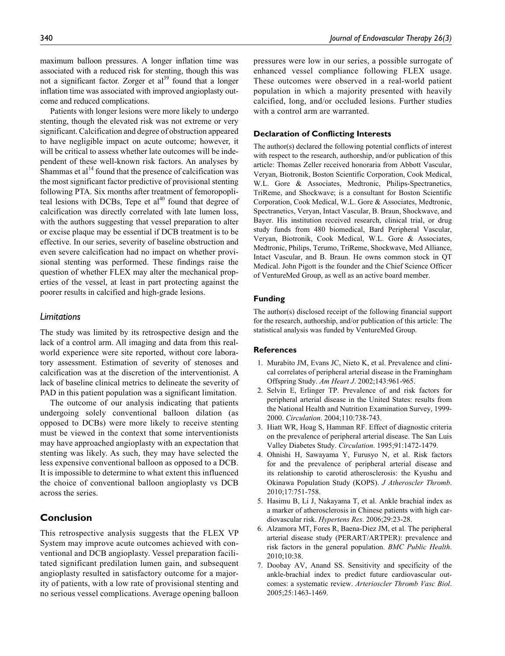associated with a reduced risk for stenting, though this was not a significant factor. Zorger et  $al<sup>39</sup>$  found that a longer inflation time was associated with improved angioplasty outcome and reduced complications.

Patients with longer lesions were more likely to undergo stenting, though the elevated risk was not extreme or very significant. Calcification and degree of obstruction appeared to have negligible impact on acute outcome; however, it will be critical to assess whether late outcomes will be independent of these well-known risk factors. An analyses by Shammas et al<sup>14</sup> found that the presence of calcification was the most significant factor predictive of provisional stenting following PTA. Six months after treatment of femoropopliteal lesions with DCBs, Tepe et  $al<sup>40</sup>$  found that degree of calcification was directly correlated with late lumen loss, with the authors suggesting that vessel preparation to alter or excise plaque may be essential if DCB treatment is to be effective. In our series, severity of baseline obstruction and even severe calcification had no impact on whether provisional stenting was performed. These findings raise the question of whether FLEX may alter the mechanical properties of the vessel, at least in part protecting against the poorer results in calcified and high-grade lesions.

#### *Limitations*

The study was limited by its retrospective design and the lack of a control arm. All imaging and data from this realworld experience were site reported, without core laboratory assessment. Estimation of severity of stenoses and calcification was at the discretion of the interventionist. A lack of baseline clinical metrics to delineate the severity of PAD in this patient population was a significant limitation.

The outcome of our analysis indicating that patients undergoing solely conventional balloon dilation (as opposed to DCBs) were more likely to receive stenting must be viewed in the context that some interventionists may have approached angioplasty with an expectation that stenting was likely. As such, they may have selected the less expensive conventional balloon as opposed to a DCB. It is impossible to determine to what extent this influenced the choice of conventional balloon angioplasty vs DCB across the series.

# **Conclusion**

This retrospective analysis suggests that the FLEX VP System may improve acute outcomes achieved with conventional and DCB angioplasty. Vessel preparation facilitated significant predilation lumen gain, and subsequent angioplasty resulted in satisfactory outcome for a majority of patients, with a low rate of provisional stenting and no serious vessel complications. Average opening balloon pressures were low in our series, a possible surrogate of enhanced vessel compliance following FLEX usage. These outcomes were observed in a real-world patient population in which a majority presented with heavily calcified, long, and/or occluded lesions. Further studies with a control arm are warranted.

#### **Declaration of Conflicting Interests**

The author(s) declared the following potential conflicts of interest with respect to the research, authorship, and/or publication of this article: Thomas Zeller received honoraria from Abbott Vascular, Veryan, Biotronik, Boston Scientific Corporation, Cook Medical, W.L. Gore & Associates, Medtronic, Philips-Spectranetics, TriReme, and Shockwave; is a consultant for Boston Scientific Corporation, Cook Medical, W.L. Gore & Associates, Medtronic, Spectranetics, Veryan, Intact Vascular, B. Braun, Shockwave, and Bayer. His institution received research, clinical trial, or drug study funds from 480 biomedical, Bard Peripheral Vascular, Veryan, Biotronik, Cook Medical, W.L. Gore & Associates, Medtronic, Philips, Terumo, TriReme, Shockwave, Med Alliance, Intact Vascular, and B. Braun. He owns common stock in QT Medical. John Pigott is the founder and the Chief Science Officer of VentureMed Group, as well as an active board member.

#### **Funding**

The author(s) disclosed receipt of the following financial support for the research, authorship, and/or publication of this article: The statistical analysis was funded by VentureMed Group.

#### **References**

- 1. Murabito JM, Evans JC, Nieto K, et al. Prevalence and clinical correlates of peripheral arterial disease in the Framingham Offspring Study. *Am Heart J*. 2002;143:961-965.
- 2. Selvin E, Erlinger TP. Prevalence of and risk factors for peripheral arterial disease in the United States: results from the National Health and Nutrition Examination Survey, 1999- 2000. *Circulation*. 2004;110:738-743.
- 3. Hiatt WR, Hoag S, Hamman RF. Effect of diagnostic criteria on the prevalence of peripheral arterial disease. The San Luis Valley Diabetes Study. *Circulation*. 1995;91:1472-1479.
- 4. Ohnishi H, Sawayama Y, Furusyo N, et al. Risk factors for and the prevalence of peripheral arterial disease and its relationship to carotid atherosclerosis: the Kyushu and Okinawa Population Study (KOPS). *J Atheroscler Thromb*. 2010;17:751-758.
- 5. Hasimu B, Li J, Nakayama T, et al. Ankle brachial index as a marker of atherosclerosis in Chinese patients with high cardiovascular risk. *Hypertens Res*. 2006;29:23-28.
- 6. Alzamora MT, Fores R, Baena-Diez JM, et al. The peripheral arterial disease study (PERART/ARTPER): prevalence and risk factors in the general population. *BMC Public Health*. 2010;10:38.
- 7. Doobay AV, Anand SS. Sensitivity and specificity of the ankle-brachial index to predict future cardiovascular outcomes: a systematic review. *Arterioscler Thromb Vasc Biol*. 2005;25:1463-1469.